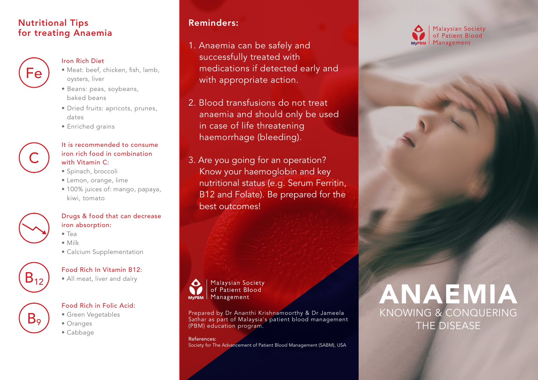## Nutritional Tips for treating Anaemia



#### Iron Rich Diet

- Meat: beef, chicken, fish, lamb, oysters, liver
- Beans: peas, soybeans, baked beans
- Dried fruits: apricots, prunes, dates
- Enriched grains



### It is recommended to consume iron rich food in combination with Vitamin C:

- Spinach, broccoli
- Lemon, orange, lime
- 100% juices of: mango, papaya, kiwi, tomato



### Drugs & food that can decrease iron absorption:

- Tea
- Milk
- Calcium Supplementation



 $B<sub>9</sub>$ 

## Food Rich In Vitamin B12:

• All meat, liver and dairy

### Food Rich in Folic Acid:

- Green Vegetables
- Oranges
- Cabbage

# Reminders:

- 1. Anaemia can be safely and successfully treated with medications if detected early and with appropriate action.
- 2. Blood transfusions do not treat anaemia and should only be used in case of life threatening haemorrhage (bleeding).
- 3. Are you going for an operation? Know your haemoglobin and key nutritional status (e.g. Serum Ferritin, B12 and Folate). Be prepared for the best outcomes!



of Patient Blood

Prepared by Dr Ananthi Krishnamoorthy & Dr Jameela Sathar as part of Malaysia's patient blood management (PBM) education program.

References:

Society for The Advancement of Patient Blood Management (SABM), USA

# ANAEMIA KNOWING & CONQUERING THE DISEASE